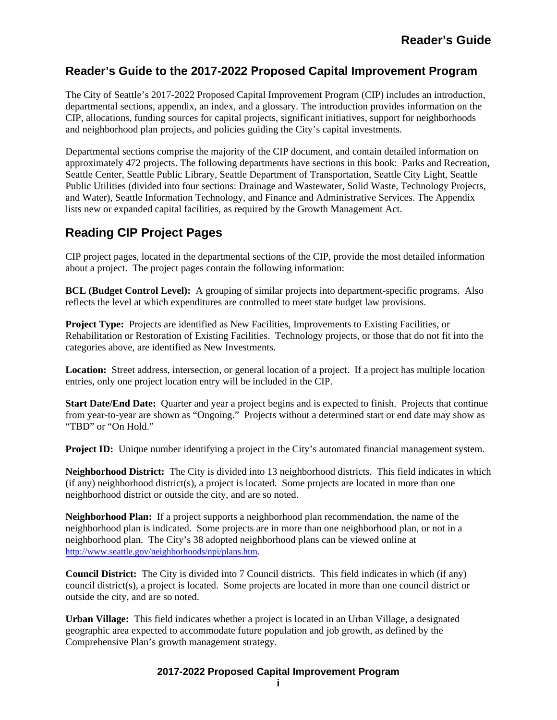# **Reader's Guide to the 2017-2022 Proposed Capital Improvement Program**

The City of Seattle's 2017-2022 Proposed Capital Improvement Program (CIP) includes an introduction, departmental sections, appendix, an index, and a glossary. The introduction provides information on the CIP, allocations, funding sources for capital projects, significant initiatives, support for neighborhoods and neighborhood plan projects, and policies guiding the City's capital investments.

Departmental sections comprise the majority of the CIP document, and contain detailed information on approximately 472 projects. The following departments have sections in this book: Parks and Recreation, Seattle Center, Seattle Public Library, Seattle Department of Transportation, Seattle City Light, Seattle Public Utilities (divided into four sections: Drainage and Wastewater, Solid Waste, Technology Projects, and Water), Seattle Information Technology, and Finance and Administrative Services. The Appendix lists new or expanded capital facilities, as required by the Growth Management Act.

# **Reading CIP Project Pages**

CIP project pages, located in the departmental sections of the CIP, provide the most detailed information about a project. The project pages contain the following information:

**BCL (Budget Control Level):** A grouping of similar projects into department-specific programs. Also reflects the level at which expenditures are controlled to meet state budget law provisions.

**Project Type:** Projects are identified as New Facilities, Improvements to Existing Facilities, or Rehabilitation or Restoration of Existing Facilities. Technology projects, or those that do not fit into the categories above, are identified as New Investments.

**Location:** Street address, intersection, or general location of a project. If a project has multiple location entries, only one project location entry will be included in the CIP.

**Start Date/End Date:** Quarter and year a project begins and is expected to finish. Projects that continue from year-to-year are shown as "Ongoing." Projects without a determined start or end date may show as "TBD" or "On Hold."

**Project ID:** Unique number identifying a project in the City's automated financial management system.

**Neighborhood District:** The City is divided into 13 neighborhood districts. This field indicates in which (if any) neighborhood district(s), a project is located. Some projects are located in more than one neighborhood district or outside the city, and are so noted.

**Neighborhood Plan:** If a project supports a neighborhood plan recommendation, the name of the neighborhood plan is indicated. Some projects are in more than one neighborhood plan, or not in a neighborhood plan. The City's 38 adopted neighborhood plans can be viewed online at http://www.seattle.gov/neighborhoods/npi/plans.htm.

**Council District:** The City is divided into 7 Council districts. This field indicates in which (if any) council district(s), a project is located. Some projects are located in more than one council district or outside the city, and are so noted.

**Urban Village:** This field indicates whether a project is located in an Urban Village, a designated geographic area expected to accommodate future population and job growth, as defined by the Comprehensive Plan's growth management strategy.

## **2017-2022 Proposed Capital Improvement Program**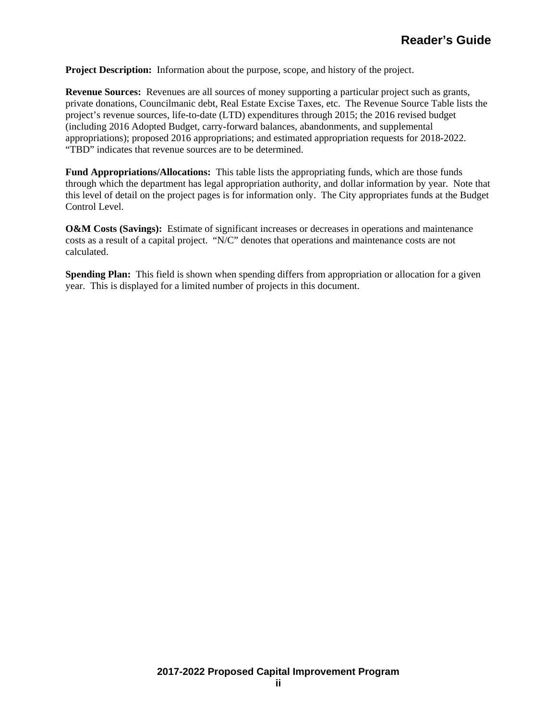**Project Description:** Information about the purpose, scope, and history of the project.

**Revenue Sources:** Revenues are all sources of money supporting a particular project such as grants, private donations, Councilmanic debt, Real Estate Excise Taxes, etc. The Revenue Source Table lists the project's revenue sources, life-to-date (LTD) expenditures through 2015; the 2016 revised budget (including 2016 Adopted Budget, carry-forward balances, abandonments, and supplemental appropriations); proposed 2016 appropriations; and estimated appropriation requests for 2018-2022. "TBD" indicates that revenue sources are to be determined.

**Fund Appropriations/Allocations:** This table lists the appropriating funds, which are those funds through which the department has legal appropriation authority, and dollar information by year. Note that this level of detail on the project pages is for information only. The City appropriates funds at the Budget Control Level.

**O&M Costs (Savings):** Estimate of significant increases or decreases in operations and maintenance costs as a result of a capital project. "N/C" denotes that operations and maintenance costs are not calculated.

**Spending Plan:** This field is shown when spending differs from appropriation or allocation for a given year. This is displayed for a limited number of projects in this document.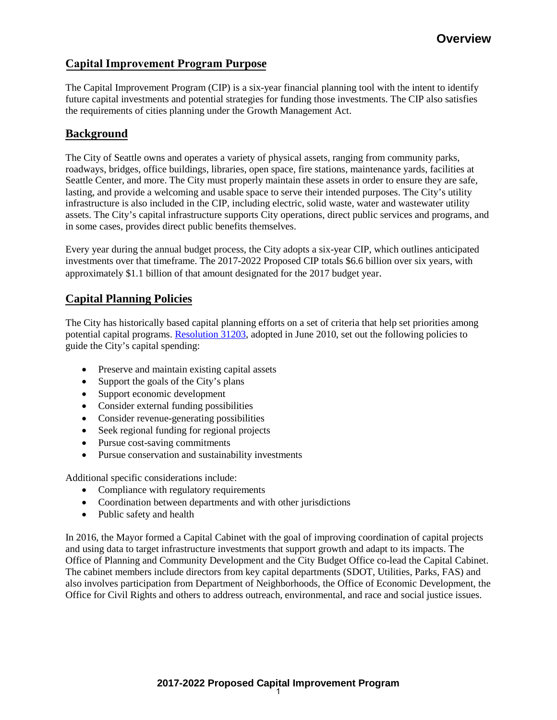# **Capital Improvement Program Purpose**

The Capital Improvement Program (CIP) is a six-year financial planning tool with the intent to identify future capital investments and potential strategies for funding those investments. The CIP also satisfies the requirements of cities planning under the Growth Management Act.

# **Background**

The City of Seattle owns and operates a variety of physical assets, ranging from community parks, roadways, bridges, office buildings, libraries, open space, fire stations, maintenance yards, facilities at Seattle Center, and more. The City must properly maintain these assets in order to ensure they are safe, lasting, and provide a welcoming and usable space to serve their intended purposes. The City's utility infrastructure is also included in the CIP, including electric, solid waste, water and wastewater utility assets. The City's capital infrastructure supports City operations, direct public services and programs, and in some cases, provides direct public benefits themselves.

Every year during the annual budget process, the City adopts a six-year CIP, which outlines anticipated investments over that timeframe. The 2017-2022 Proposed CIP totals \$6.6 billion over six years, with approximately \$1.1 billion of that amount designated for the 2017 budget year.

# **Capital Planning Policies**

The City has historically based capital planning efforts on a set of criteria that help set priorities among potential capital programs. [Resolution 31203,](http://clerk.ci.seattle.wa.us/%7Escripts/nph-brs.exe?s1=&s3=31203&s2=&s4=&Sect4=AND&l=200&Sect2=THESON&Sect3=PLURON&Sect5=RESNY&Sect6=HITOFF&d=RESF&p=1&u=%2F%7Epublic%2Fresny.htm&r=1&f=G) adopted in June 2010, set out the following policies to guide the City's capital spending:

- Preserve and maintain existing capital assets
- Support the goals of the City's plans
- Support economic development
- Consider external funding possibilities
- Consider revenue-generating possibilities
- Seek regional funding for regional projects
- Pursue cost-saving commitments
- Pursue conservation and sustainability investments

Additional specific considerations include:

- Compliance with regulatory requirements
- Coordination between departments and with other jurisdictions
- Public safety and health

In 2016, the Mayor formed a Capital Cabinet with the goal of improving coordination of capital projects and using data to target infrastructure investments that support growth and adapt to its impacts. The Office of Planning and Community Development and the City Budget Office co-lead the Capital Cabinet. The cabinet members include directors from key capital departments (SDOT, Utilities, Parks, FAS) and also involves participation from Department of Neighborhoods, the Office of Economic Development, the Office for Civil Rights and others to address outreach, environmental, and race and social justice issues.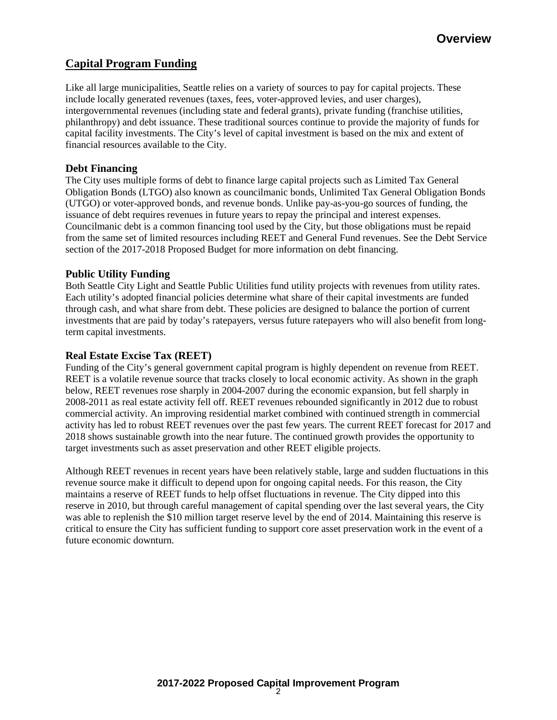# **Capital Program Funding**

Like all large municipalities, Seattle relies on a variety of sources to pay for capital projects. These include locally generated revenues (taxes, fees, voter-approved levies, and user charges), intergovernmental revenues (including state and federal grants), private funding (franchise utilities, philanthropy) and debt issuance. These traditional sources continue to provide the majority of funds for capital facility investments. The City's level of capital investment is based on the mix and extent of financial resources available to the City.

# **Debt Financing**

The City uses multiple forms of debt to finance large capital projects such as Limited Tax General Obligation Bonds (LTGO) also known as councilmanic bonds, Unlimited Tax General Obligation Bonds (UTGO) or voter-approved bonds, and revenue bonds. Unlike pay-as-you-go sources of funding, the issuance of debt requires revenues in future years to repay the principal and interest expenses. Councilmanic debt is a common financing tool used by the City, but those obligations must be repaid from the same set of limited resources including REET and General Fund revenues. See the Debt Service section of the 2017-2018 Proposed Budget for more information on debt financing.

# **Public Utility Funding**

Both Seattle City Light and Seattle Public Utilities fund utility projects with revenues from utility rates. Each utility's adopted financial policies determine what share of their capital investments are funded through cash, and what share from debt. These policies are designed to balance the portion of current investments that are paid by today's ratepayers, versus future ratepayers who will also benefit from longterm capital investments.

# **Real Estate Excise Tax (REET)**

Funding of the City's general government capital program is highly dependent on revenue from REET. REET is a volatile revenue source that tracks closely to local economic activity. As shown in the graph below, REET revenues rose sharply in 2004-2007 during the economic expansion, but fell sharply in 2008-2011 as real estate activity fell off. REET revenues rebounded significantly in 2012 due to robust commercial activity. An improving residential market combined with continued strength in commercial activity has led to robust REET revenues over the past few years. The current REET forecast for 2017 and 2018 shows sustainable growth into the near future. The continued growth provides the opportunity to target investments such as asset preservation and other REET eligible projects.

Although REET revenues in recent years have been relatively stable, large and sudden fluctuations in this revenue source make it difficult to depend upon for ongoing capital needs. For this reason, the City maintains a reserve of REET funds to help offset fluctuations in revenue. The City dipped into this reserve in 2010, but through careful management of capital spending over the last several years, the City was able to replenish the \$10 million target reserve level by the end of 2014. Maintaining this reserve is critical to ensure the City has sufficient funding to support core asset preservation work in the event of a future economic downturn.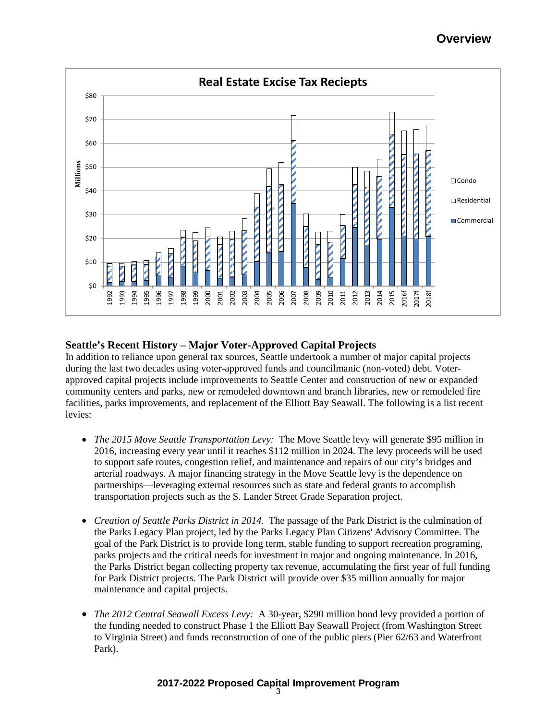

## **Seattle's Recent History – Major Voter-Approved Capital Projects**

In addition to reliance upon general tax sources, Seattle undertook a number of major capital projects during the last two decades using voter-approved funds and councilmanic (non-voted) debt. Voterapproved capital projects include improvements to Seattle Center and construction of new or expanded community centers and parks, new or remodeled downtown and branch libraries, new or remodeled fire facilities, parks improvements, and replacement of the Elliott Bay Seawall. The following is a list recent levies:

- *The 2015 Move Seattle Transportation Levy:* The Move Seattle levy will generate \$95 million in 2016, increasing every year until it reaches \$112 million in 2024. The levy proceeds will be used to support safe routes, congestion relief, and maintenance and repairs of our city's bridges and arterial roadways. A major financing strategy in the Move Seattle levy is the dependence on partnerships—leveraging external resources such as state and federal grants to accomplish transportation projects such as the S. Lander Street Grade Separation project.
- *Creation of Seattle Parks District in 2014.* The passage of the Park District is the culmination of the Parks Legacy Plan project, led by the Parks Legacy Plan Citizens' Advisory Committee. The goal of the Park District is to provide long term, stable funding to support recreation programing, parks projects and the critical needs for investment in major and ongoing maintenance. In 2016, the Parks District began collecting property tax revenue, accumulating the first year of full funding for Park District projects. The Park District will provide over \$35 million annually for major maintenance and capital projects.
- *The 2012 Central Seawall Excess Levy:* A 30-year, \$290 million bond levy provided a portion of the funding needed to construct Phase 1 the Elliott Bay Seawall Project (from Washington Street to Virginia Street) and funds reconstruction of one of the public piers (Pier 62/63 and Waterfront Park).

## **2017-2022 Proposed Capital Improvement Program**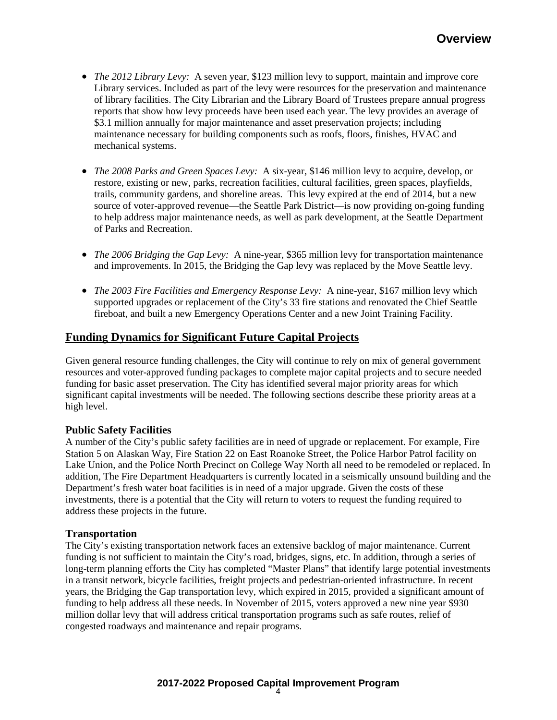- *The 2012 Library Levy:* A seven year, \$123 million levy to support, maintain and improve core Library services. Included as part of the levy were resources for the preservation and maintenance of library facilities. The City Librarian and the Library Board of Trustees prepare annual progress reports that show how levy proceeds have been used each year. The levy provides an average of \$3.1 million annually for major maintenance and asset preservation projects; including maintenance necessary for building components such as roofs, floors, finishes, HVAC and mechanical systems.
- *The 2008 Parks and Green Spaces Levy:* A six-year, \$146 million levy to acquire, develop, or restore, existing or new, parks, recreation facilities, cultural facilities, green spaces, playfields, trails, community gardens, and shoreline areas. This levy expired at the end of 2014, but a new source of voter-approved revenue—the Seattle Park District—is now providing on-going funding to help address major maintenance needs, as well as park development, at the Seattle Department of Parks and Recreation.
- *The 2006 Bridging the Gap Levy:* A nine-year, \$365 million levy for transportation maintenance and improvements. In 2015, the Bridging the Gap levy was replaced by the Move Seattle levy.
- *The 2003 Fire Facilities and Emergency Response Levy:* A nine-year, \$167 million levy which supported upgrades or replacement of the City's 33 fire stations and renovated the Chief Seattle fireboat, and built a new Emergency Operations Center and a new Joint Training Facility.

# **Funding Dynamics for Significant Future Capital Projects**

Given general resource funding challenges, the City will continue to rely on mix of general government resources and voter-approved funding packages to complete major capital projects and to secure needed funding for basic asset preservation. The City has identified several major priority areas for which significant capital investments will be needed. The following sections describe these priority areas at a high level.

## **Public Safety Facilities**

A number of the City's public safety facilities are in need of upgrade or replacement. For example, Fire Station 5 on Alaskan Way, Fire Station 22 on East Roanoke Street, the Police Harbor Patrol facility on Lake Union, and the Police North Precinct on College Way North all need to be remodeled or replaced. In addition, The Fire Department Headquarters is currently located in a seismically unsound building and the Department's fresh water boat facilities is in need of a major upgrade. Given the costs of these investments, there is a potential that the City will return to voters to request the funding required to address these projects in the future.

#### **Transportation**

The City's existing transportation network faces an extensive backlog of major maintenance. Current funding is not sufficient to maintain the City's road, bridges, signs, etc. In addition, through a series of long-term planning efforts the City has completed "Master Plans" that identify large potential investments in a transit network, bicycle facilities, freight projects and pedestrian-oriented infrastructure. In recent years, the Bridging the Gap transportation levy, which expired in 2015, provided a significant amount of funding to help address all these needs. In November of 2015, voters approved a new nine year \$930 million dollar levy that will address critical transportation programs such as safe routes, relief of congested roadways and maintenance and repair programs.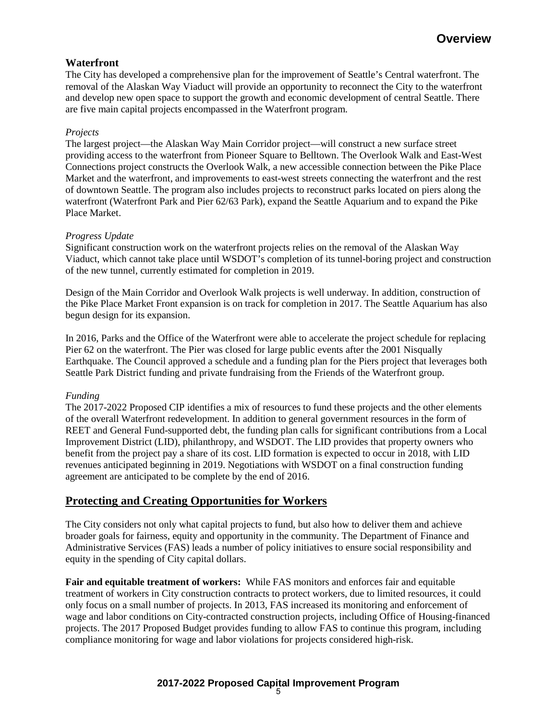# **Waterfront**

The City has developed a comprehensive plan for the improvement of Seattle's Central waterfront. The removal of the Alaskan Way Viaduct will provide an opportunity to reconnect the City to the waterfront and develop new open space to support the growth and economic development of central Seattle. There are five main capital projects encompassed in the Waterfront program.

### *Projects*

The largest project—the Alaskan Way Main Corridor project—will construct a new surface street providing access to the waterfront from Pioneer Square to Belltown. The Overlook Walk and East-West Connections project constructs the Overlook Walk, a new accessible connection between the Pike Place Market and the waterfront, and improvements to east-west streets connecting the waterfront and the rest of downtown Seattle. The program also includes projects to reconstruct parks located on piers along the waterfront (Waterfront Park and Pier 62/63 Park), expand the Seattle Aquarium and to expand the Pike Place Market.

### *Progress Update*

Significant construction work on the waterfront projects relies on the removal of the Alaskan Way Viaduct, which cannot take place until WSDOT's completion of its tunnel-boring project and construction of the new tunnel, currently estimated for completion in 2019.

Design of the Main Corridor and Overlook Walk projects is well underway. In addition, construction of the Pike Place Market Front expansion is on track for completion in 2017. The Seattle Aquarium has also begun design for its expansion.

In 2016, Parks and the Office of the Waterfront were able to accelerate the project schedule for replacing Pier 62 on the waterfront. The Pier was closed for large public events after the 2001 Nisqually Earthquake. The Council approved a schedule and a funding plan for the Piers project that leverages both Seattle Park District funding and private fundraising from the Friends of the Waterfront group.

#### *Funding*

The 2017-2022 Proposed CIP identifies a mix of resources to fund these projects and the other elements of the overall Waterfront redevelopment. In addition to general government resources in the form of REET and General Fund-supported debt, the funding plan calls for significant contributions from a Local Improvement District (LID), philanthropy, and WSDOT. The LID provides that property owners who benefit from the project pay a share of its cost. LID formation is expected to occur in 2018, with LID revenues anticipated beginning in 2019. Negotiations with WSDOT on a final construction funding agreement are anticipated to be complete by the end of 2016.

# **Protecting and Creating Opportunities for Workers**

The City considers not only what capital projects to fund, but also how to deliver them and achieve broader goals for fairness, equity and opportunity in the community. The Department of Finance and Administrative Services (FAS) leads a number of policy initiatives to ensure social responsibility and equity in the spending of City capital dollars.

**Fair and equitable treatment of workers:** While FAS monitors and enforces fair and equitable treatment of workers in City construction contracts to protect workers, due to limited resources, it could only focus on a small number of projects. In 2013, FAS increased its monitoring and enforcement of wage and labor conditions on City-contracted construction projects, including Office of Housing-financed projects. The 2017 Proposed Budget provides funding to allow FAS to continue this program, including compliance monitoring for wage and labor violations for projects considered high-risk.

## **2017-2022 Proposed Capital Improvement Program**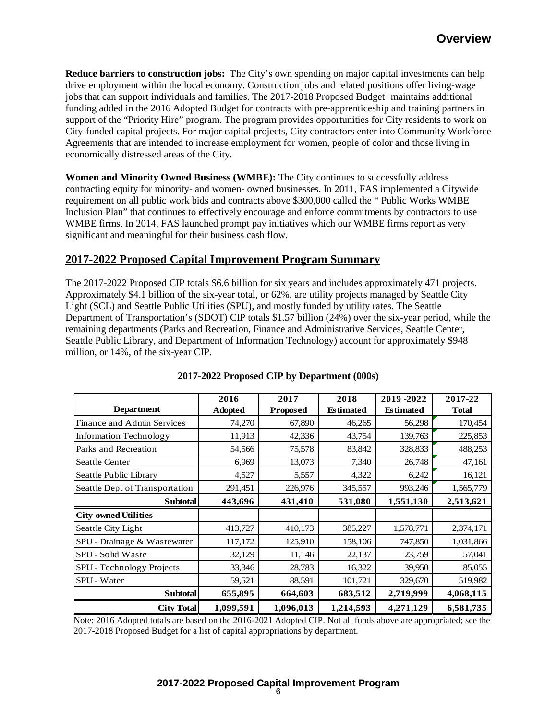**Reduce barriers to construction jobs:** The City's own spending on major capital investments can help drive employment within the local economy. Construction jobs and related positions offer living-wage jobs that can support individuals and families. The 2017-2018 Proposed Budget maintains additional funding added in the 2016 Adopted Budget for contracts with pre-apprenticeship and training partners in support of the "Priority Hire" program. The program provides opportunities for City residents to work on City-funded capital projects. For major capital projects, City contractors enter into Community Workforce Agreements that are intended to increase employment for women, people of color and those living in economically distressed areas of the City.

**Women and Minority Owned Business (WMBE):** The City continues to successfully address contracting equity for minority- and women- owned businesses. In 2011, FAS implemented a Citywide requirement on all public work bids and contracts above \$300,000 called the " Public Works WMBE Inclusion Plan" that continues to effectively encourage and enforce commitments by contractors to use WMBE firms. In 2014, FAS launched prompt pay initiatives which our WMBE firms report as very significant and meaningful for their business cash flow.

# **2017-2022 Proposed Capital Improvement Program Summary**

The 2017-2022 Proposed CIP totals \$6.6 billion for six years and includes approximately 471 projects. Approximately \$4.1 billion of the six-year total, or 62%, are utility projects managed by Seattle City Light (SCL) and Seattle Public Utilities (SPU), and mostly funded by utility rates. The Seattle Department of Transportation's (SDOT) CIP totals \$1.57 billion (24%) over the six-year period, while the remaining departments (Parks and Recreation, Finance and Administrative Services, Seattle Center, Seattle Public Library, and Department of Information Technology) account for approximately \$948 million, or 14%, of the six-year CIP.

|                                | 2016           | 2017            | 2018             | 2019-2022        | 2017-22      |
|--------------------------------|----------------|-----------------|------------------|------------------|--------------|
| <b>Department</b>              | <b>Adopted</b> | <b>Proposed</b> | <b>Estimated</b> | <b>Estimated</b> | <b>Total</b> |
| Finance and Admin Services     | 74,270         | 67,890          | 46,265           | 56,298           | 170,454      |
| <b>Information Technology</b>  | 11,913         | 42,336          | 43,754           | 139,763          | 225,853      |
| Parks and Recreation           | 54,566         | 75,578          | 83,842           | 328,833          | 488,253      |
| <b>Seattle Center</b>          | 6,969          | 13,073          | 7,340            | 26,748           | 47,161       |
| Seattle Public Library         | 4,527          | 5,557           | 4,322            | 6,242            | 16,121       |
| Seattle Dept of Transportation | 291,451        | 226,976         | 345,557          | 993,246          | 1,565,779    |
| Subtotal                       | 443,696        | 431,410         | 531,080          | 1,551,130        | 2,513,621    |
| <b>City-owned Utilities</b>    |                |                 |                  |                  |              |
| Seattle City Light             | 413,727        | 410,173         | 385,227          | 1,578,771        | 2,374,171    |
| SPU - Drainage & Wastewater    | 117,172        | 125,910         | 158,106          | 747,850          | 1,031,866    |
| SPU - Solid Waste              | 32,129         | 11,146          | 22,137           | 23,759           | 57,041       |
| SPU - Technology Projects      | 33,346         | 28,783          | 16,322           | 39,950           | 85,055       |
| SPU - Water                    | 59,521         | 88,591          | 101,721          | 329,670          | 519,982      |
| <b>Subtotal</b>                | 655,895        | 664,603         | 683,512          | 2,719,999        | 4,068,115    |
| <b>City Total</b>              | 1,099,591      | 1,096,013       | 1,214,593        | 4,271,129        | 6,581,735    |

## **2017-2022 Proposed CIP by Department (000s)**

Note: 2016 Adopted totals are based on the 2016-2021 Adopted CIP. Not all funds above are appropriated; see the 2017-2018 Proposed Budget for a list of capital appropriations by department.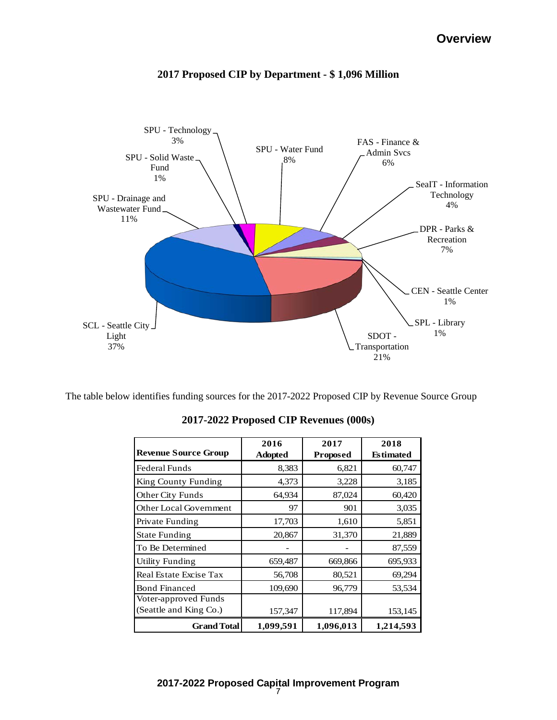

# **2017 Proposed CIP by Department - \$ 1,096 Million**

The table below identifies funding sources for the 2017-2022 Proposed CIP by Revenue Source Group

|                             | 2016           | 2017            | 2018             |
|-----------------------------|----------------|-----------------|------------------|
| <b>Revenue Source Group</b> | <b>Adopted</b> | <b>Proposed</b> | <b>Estimated</b> |
| Federal Funds               | 8,383          | 6,821           | 60,747           |
| King County Funding         | 4,373          | 3,228           | 3,185            |
| Other City Funds            | 64,934         | 87,024          | 60,420           |
| Other Local Government      | 97             | 901             | 3,035            |
| Private Funding             | 17,703         | 1,610           | 5,851            |
| <b>State Funding</b>        | 20,867         | 31,370          | 21,889           |
| To Be Determined            |                |                 | 87,559           |
| <b>Utility Funding</b>      | 659,487        | 669,866         | 695,933          |
| Real Estate Excise Tax      | 56,708         | 80,521          | 69,294           |
| <b>Bond Financed</b>        | 109,690        | 96,779          | 53,534           |
| Voter-approved Funds        |                |                 |                  |
| (Seattle and King Co.)      | 157,347        | 117,894         | 153,145          |
| <b>Grand Total</b>          | 1,099,591      | 1,096,013       | 1,214,593        |

**2017-2022 Proposed CIP Revenues (000s)**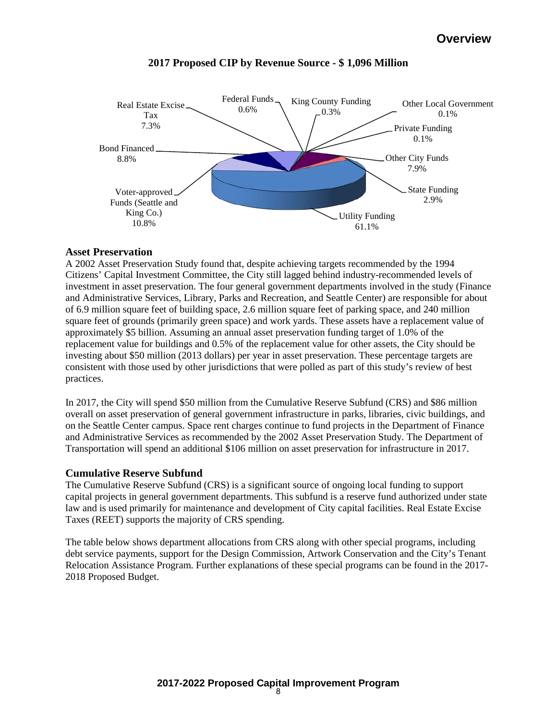

# **2017 Proposed CIP by Revenue Source - \$ 1,096 Million**

### **Asset Preservation**

A 2002 Asset Preservation Study found that, despite achieving targets recommended by the 1994 Citizens' Capital Investment Committee, the City still lagged behind industry-recommended levels of investment in asset preservation. The four general government departments involved in the study (Finance and Administrative Services, Library, Parks and Recreation, and Seattle Center) are responsible for about of 6.9 million square feet of building space, 2.6 million square feet of parking space, and 240 million square feet of grounds (primarily green space) and work yards. These assets have a replacement value of approximately \$5 billion. Assuming an annual asset preservation funding target of 1.0% of the replacement value for buildings and 0.5% of the replacement value for other assets, the City should be investing about \$50 million (2013 dollars) per year in asset preservation. These percentage targets are consistent with those used by other jurisdictions that were polled as part of this study's review of best practices.

In 2017, the City will spend \$50 million from the Cumulative Reserve Subfund (CRS) and \$86 million overall on asset preservation of general government infrastructure in parks, libraries, civic buildings, and on the Seattle Center campus. Space rent charges continue to fund projects in the Department of Finance and Administrative Services as recommended by the 2002 Asset Preservation Study. The Department of Transportation will spend an additional \$106 million on asset preservation for infrastructure in 2017.

## **Cumulative Reserve Subfund**

The Cumulative Reserve Subfund (CRS) is a significant source of ongoing local funding to support capital projects in general government departments. This subfund is a reserve fund authorized under state law and is used primarily for maintenance and development of City capital facilities. Real Estate Excise Taxes (REET) supports the majority of CRS spending.

The table below shows department allocations from CRS along with other special programs, including debt service payments, support for the Design Commission, Artwork Conservation and the City's Tenant Relocation Assistance Program. Further explanations of these special programs can be found in the 2017- 2018 Proposed Budget.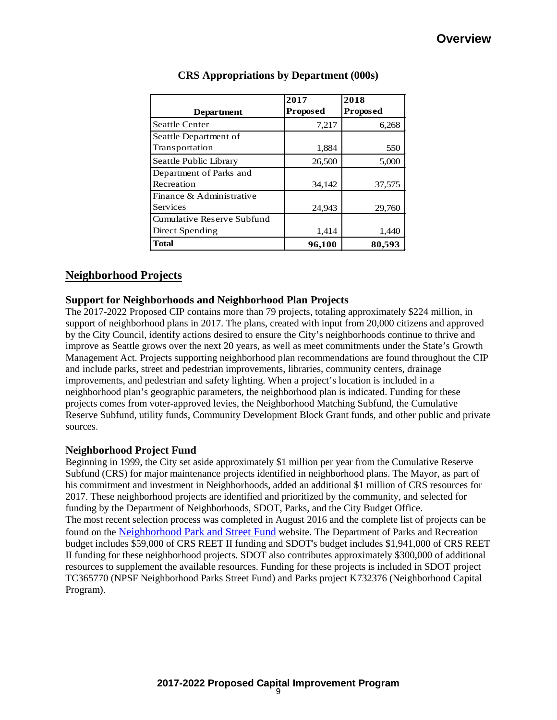|                            | 2017            | 2018            |
|----------------------------|-----------------|-----------------|
| <b>Department</b>          | <b>Proposed</b> | <b>Proposed</b> |
| <b>Seattle Center</b>      | 7,217           | 6,268           |
| Seattle Department of      |                 |                 |
| Transportation             | 1,884           | 550             |
| Seattle Public Library     | 26,500          | 5,000           |
| Department of Parks and    |                 |                 |
| Recreation                 | 34,142          | 37,575          |
| Finance & Administrative   |                 |                 |
| Services                   | 24,943          | 29,760          |
| Cumulative Reserve Subfund |                 |                 |
| Direct Spending            | 1,414           | 1,440           |
| <b>Total</b>               | 96,100          | 80,593          |

# **CRS Appropriations by Department (000s)**

# **Neighborhood Projects**

### **Support for Neighborhoods and Neighborhood Plan Projects**

The 2017-2022 Proposed CIP contains more than 79 projects, totaling approximately \$224 million, in support of neighborhood plans in 2017. The plans, created with input from 20,000 citizens and approved by the City Council, identify actions desired to ensure the City's neighborhoods continue to thrive and improve as Seattle grows over the next 20 years, as well as meet commitments under the State's Growth Management Act. Projects supporting neighborhood plan recommendations are found throughout the CIP and include parks, street and pedestrian improvements, libraries, community centers, drainage improvements, and pedestrian and safety lighting. When a project's location is included in a neighborhood plan's geographic parameters, the neighborhood plan is indicated. Funding for these projects comes from voter-approved levies, the Neighborhood Matching Subfund, the Cumulative Reserve Subfund, utility funds, Community Development Block Grant funds, and other public and private sources.

#### **Neighborhood Project Fund**

Beginning in 1999, the City set aside approximately \$1 million per year from the Cumulative Reserve Subfund (CRS) for major maintenance projects identified in neighborhood plans. The Mayor, as part of his commitment and investment in Neighborhoods, added an additional \$1 million of CRS resources for 2017. These neighborhood projects are identified and prioritized by the community, and selected for funding by the Department of Neighborhoods, SDOT, Parks, and the City Budget Office. The most recent selection process was completed in August 2016 and the complete list of projects can be found on the [Neighborhood Park and Street Fund](http://www.seattle.gov/neighborhoods/programs-and-services/neighborhood-park-and-street-fund) website. The Department of Parks and Recreation budget includes \$59,000 of CRS REET II funding and SDOT's budget includes \$1,941,000 of CRS REET II funding for these neighborhood projects. SDOT also contributes approximately \$300,000 of additional resources to supplement the available resources. Funding for these projects is included in SDOT project TC365770 (NPSF Neighborhood Parks Street Fund) and Parks project K732376 (Neighborhood Capital Program).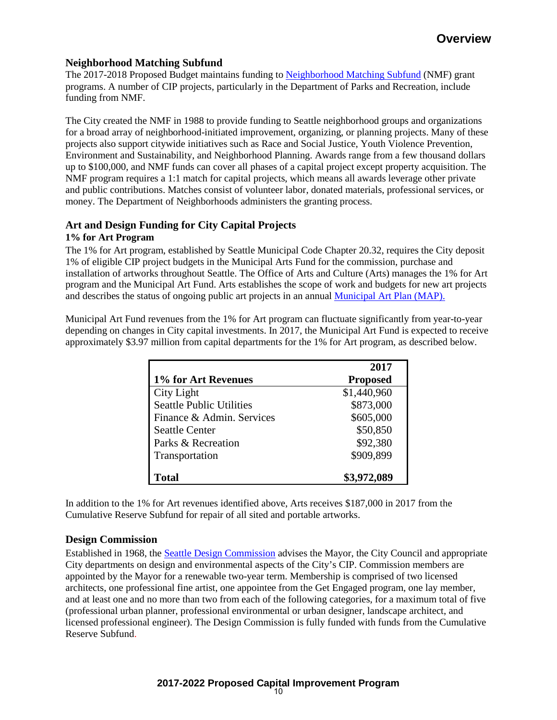# **Neighborhood Matching Subfund**

The 2017-2018 Proposed Budget maintains funding to [Neighborhood Matching Subfund](http://www.seattle.gov/neighborhoods/programs-and-services/neighborhood-matching-fund) (NMF) grant programs. A number of CIP projects, particularly in the Department of Parks and Recreation, include funding from NMF.

The City created the NMF in 1988 to provide funding to Seattle neighborhood groups and organizations for a broad array of neighborhood-initiated improvement, organizing, or planning projects. Many of these projects also support citywide initiatives such as Race and Social Justice, Youth Violence Prevention, Environment and Sustainability, and Neighborhood Planning. Awards range from a few thousand dollars up to \$100,000, and NMF funds can cover all phases of a capital project except property acquisition. The NMF program requires a 1:1 match for capital projects, which means all awards leverage other private and public contributions. Matches consist of volunteer labor, donated materials, professional services, or money. The Department of Neighborhoods administers the granting process.

# **Art and Design Funding for City Capital Projects**

### **1% for Art Program**

The 1% for Art program, established by Seattle Municipal Code Chapter 20.32, requires the City deposit 1% of eligible CIP project budgets in the Municipal Arts Fund for the commission, purchase and installation of artworks throughout Seattle. The Office of Arts and Culture (Arts) manages the 1% for Art program and the Municipal Art Fund. Arts establishes the scope of work and budgets for new art projects and describes the status of ongoing public art projects in an annual [Municipal Art Plan \(MAP\).](http://www.seattle.gov/arts/publicart/municipal_art_plan.asp) 

Municipal Art Fund revenues from the 1% for Art program can fluctuate significantly from year-to-year depending on changes in City capital investments. In 2017, the Municipal Art Fund is expected to receive approximately \$3.97 million from capital departments for the 1% for Art program, as described below.

|                                 | 2017            |
|---------------------------------|-----------------|
| 1% for Art Revenues             | <b>Proposed</b> |
| City Light                      | \$1,440,960     |
| <b>Seattle Public Utilities</b> | \$873,000       |
| Finance & Admin. Services       | \$605,000       |
| <b>Seattle Center</b>           | \$50,850        |
| Parks & Recreation              | \$92,380        |
| Transportation                  | \$909,899       |
| Total                           | \$3,972,089     |

In addition to the 1% for Art revenues identified above, Arts receives \$187,000 in 2017 from the Cumulative Reserve Subfund for repair of all sited and portable artworks.

# **Design Commission**

Established in 1968, the [Seattle Design Commission](http://www.seattle.gov/dpd/cityplanning/designcommission/) advises the Mayor, the City Council and appropriate City departments on design and environmental aspects of the City's CIP. Commission members are appointed by the Mayor for a renewable two-year term. Membership is comprised of two licensed architects, one professional fine artist, one appointee from the Get Engaged program, one lay member, and at least one and no more than two from each of the following categories, for a maximum total of five (professional urban planner, professional environmental or urban designer, landscape architect, and licensed professional engineer). The Design Commission is fully funded with funds from the Cumulative Reserve Subfund.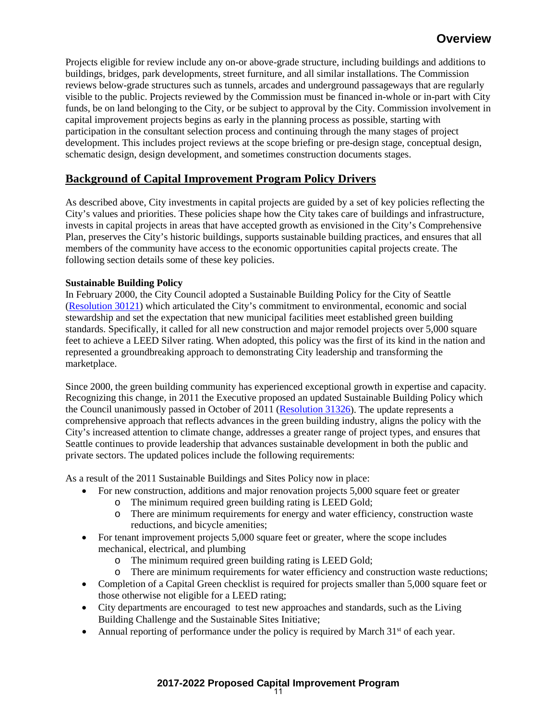Projects eligible for review include any on-or above-grade structure, including buildings and additions to buildings, bridges, park developments, street furniture, and all similar installations. The Commission reviews below-grade structures such as tunnels, arcades and underground passageways that are regularly visible to the public. Projects reviewed by the Commission must be financed in-whole or in-part with City funds, be on land belonging to the City, or be subject to approval by the City. Commission involvement in capital improvement projects begins as early in the planning process as possible, starting with participation in the consultant selection process and continuing through the many stages of project development. This includes project reviews at the scope briefing or pre-design stage, conceptual design, schematic design, design development, and sometimes construction documents stages.

# **Background of Capital Improvement Program Policy Drivers**

As described above, City investments in capital projects are guided by a set of key policies reflecting the City's values and priorities. These policies shape how the City takes care of buildings and infrastructure, invests in capital projects in areas that have accepted growth as envisioned in the City's Comprehensive Plan, preserves the City's historic buildings, supports sustainable building practices, and ensures that all members of the community have access to the economic opportunities capital projects create. The following section details some of these key policies.

## **Sustainable Building Policy**

In February 2000, the City Council adopted a Sustainable Building Policy for the City of Seattle [\(Resolution 30121\)](http://clerk.ci.seattle.wa.us/%7Escripts/nph-brs.exe?s1=&s3=30121&s2=&s4=&Sect4=AND&l=200&Sect2=THESON&Sect3=PLURON&Sect5=RESNY&Sect6=HITOFF&d=RESF&p=1&u=%2F%7Epublic%2Fresny.htm&r=1&f=G) which articulated the City's commitment to environmental, economic and social stewardship and set the expectation that new municipal facilities meet established green building standards. Specifically, it called for all new construction and major remodel projects over 5,000 square feet to achieve a LEED Silver rating. When adopted, this policy was the first of its kind in the nation and represented a groundbreaking approach to demonstrating City leadership and transforming the marketplace.

Since 2000, the green building community has experienced exceptional growth in expertise and capacity. Recognizing this change, in 2011 the Executive proposed an updated Sustainable Building Policy which the Council unanimously passed in October of 2011 [\(Resolution 31326\)](http://clerk.ci.seattle.wa.us/%7Escripts/nph-brs.exe?s1=&s3=31326&s2=&s4=&Sect4=AND&l=200&Sect2=THESON&Sect3=PLURON&Sect5=RESNY&Sect6=HITOFF&d=RESF&p=1&u=%2F%7Epublic%2Fresny.htm&r=1&f=G). The update represents a comprehensive approach that reflects advances in the green building industry, aligns the policy with the City's increased attention to climate change, addresses a greater range of project types, and ensures that Seattle continues to provide leadership that advances sustainable development in both the public and private sectors. The updated polices include the following requirements:

As a result of the 2011 Sustainable Buildings and Sites Policy now in place:

- For new construction, additions and major renovation projects 5,000 square feet or greater
	- o The minimum required green building rating is LEED Gold;
		- There are minimum requirements for energy and water efficiency, construction waste reductions, and bicycle amenities;
- For tenant improvement projects 5,000 square feet or greater, where the scope includes mechanical, electrical, and plumbing
	- o The minimum required green building rating is LEED Gold;
	- o There are minimum requirements for water efficiency and construction waste reductions;
- Completion of a Capital Green checklist is required for projects smaller than 5,000 square feet or those otherwise not eligible for a LEED rating;
- City departments are encouraged to test new approaches and standards, such as the Living Building Challenge and the Sustainable Sites Initiative;
- Annual reporting of performance under the policy is required by March  $31<sup>st</sup>$  of each year.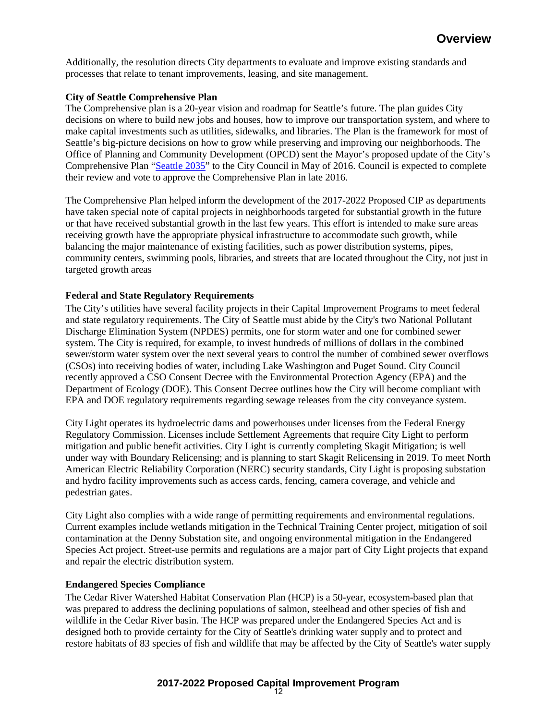Additionally, the resolution directs City departments to evaluate and improve existing standards and processes that relate to tenant improvements, leasing, and site management.

### **City of Seattle Comprehensive Plan**

The Comprehensive plan is a 20-year vision and roadmap for Seattle's future. The plan guides City decisions on where to build new jobs and houses, how to improve our transportation system, and where to make capital investments such as utilities, sidewalks, and libraries. The Plan is the framework for most of Seattle's big-picture decisions on how to grow while preserving and improving our neighborhoods. The Office of Planning and Community Development (OPCD) sent the Mayor's proposed update of the City's Comprehensive Plan ["Seattle 2035"](http://2035.seattle.gov/) to the City Council in May of 2016. Council is expected to complete their review and vote to approve the Comprehensive Plan in late 2016.

The Comprehensive Plan helped inform the development of the 2017-2022 Proposed CIP as departments have taken special note of capital projects in neighborhoods targeted for substantial growth in the future or that have received substantial growth in the last few years. This effort is intended to make sure areas receiving growth have the appropriate physical infrastructure to accommodate such growth, while balancing the major maintenance of existing facilities, such as power distribution systems, pipes, community centers, swimming pools, libraries, and streets that are located throughout the City, not just in targeted growth areas

### **Federal and State Regulatory Requirements**

The City's utilities have several facility projects in their Capital Improvement Programs to meet federal and state regulatory requirements. The City of Seattle must abide by the City's two National Pollutant Discharge Elimination System (NPDES) permits, one for storm water and one for combined sewer system. The City is required, for example, to invest hundreds of millions of dollars in the combined sewer/storm water system over the next several years to control the number of combined sewer overflows (CSOs) into receiving bodies of water, including Lake Washington and Puget Sound. City Council recently approved a CSO Consent Decree with the Environmental Protection Agency (EPA) and the Department of Ecology (DOE). This Consent Decree outlines how the City will become compliant with EPA and DOE regulatory requirements regarding sewage releases from the city conveyance system.

City Light operates its hydroelectric dams and powerhouses under licenses from the Federal Energy Regulatory Commission. Licenses include Settlement Agreements that require City Light to perform mitigation and public benefit activities. City Light is currently completing Skagit Mitigation; is well under way with Boundary Relicensing; and is planning to start Skagit Relicensing in 2019. To meet North American Electric Reliability Corporation (NERC) security standards, City Light is proposing substation and hydro facility improvements such as access cards, fencing, camera coverage, and vehicle and pedestrian gates.

City Light also complies with a wide range of permitting requirements and environmental regulations. Current examples include wetlands mitigation in the Technical Training Center project, mitigation of soil contamination at the Denny Substation site, and ongoing environmental mitigation in the Endangered Species Act project. Street-use permits and regulations are a major part of City Light projects that expand and repair the electric distribution system.

#### **Endangered Species Compliance**

The Cedar River Watershed Habitat Conservation Plan (HCP) is a 50-year, ecosystem-based plan that was prepared to address the declining populations of salmon, steelhead and other species of fish and wildlife in the Cedar River basin. The HCP was prepared under the Endangered Species Act and is designed both to provide certainty for the City of Seattle's drinking water supply and to protect and restore habitats of 83 species of fish and wildlife that may be affected by the City of Seattle's water supply